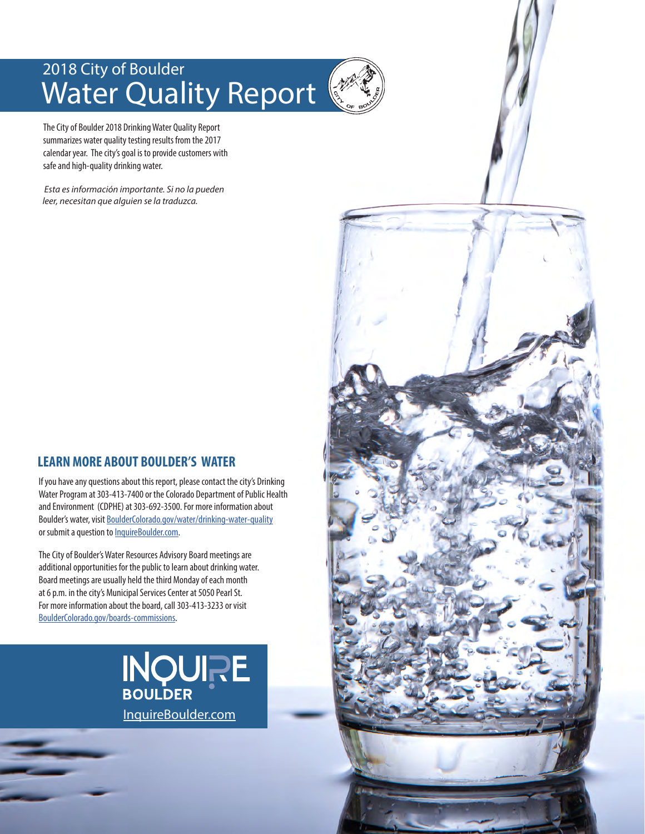## 2018 City of Boulder Water Quality Report

The City of Boulder 2018 Drinking Water Quality Report summarizes water quality testing results from the 2017 calendar year. The city's goal is to provide customers with safe and high-quality drinking water.

 *Esta es información importante. Si no la pueden leer, necesitan que alguien se la traduzca.*

#### **LEARN MORE ABOUT BOULDER'S WATER**

If you have any questions about this report, please contact the city's Drinking Water Program at 303-413-7400 or the Colorado Department of Public Health and Environment (CDPHE) at 303-692-3500. For more information about Boulder's water, visit [BoulderColorado.gov/water/drinking-water-quality](http://BoulderColorado.gov/water/drinking-water-quality) or submit a question to [InquireBoulder.com](http://www.InquireBoulder.com).

The City of Boulder's Water Resources Advisory Board meetings are additional opportunities for the public to learn about drinking water. Board meetings are usually held the third Monday of each month at 6 p.m. in the city's Municipal Services Center at 5050 Pearl St. For more information about the board, call 303-413-3233 or visit [BoulderColorado.gov/boards-commissions](http://BoulderColorado.gov/boards-commissions).



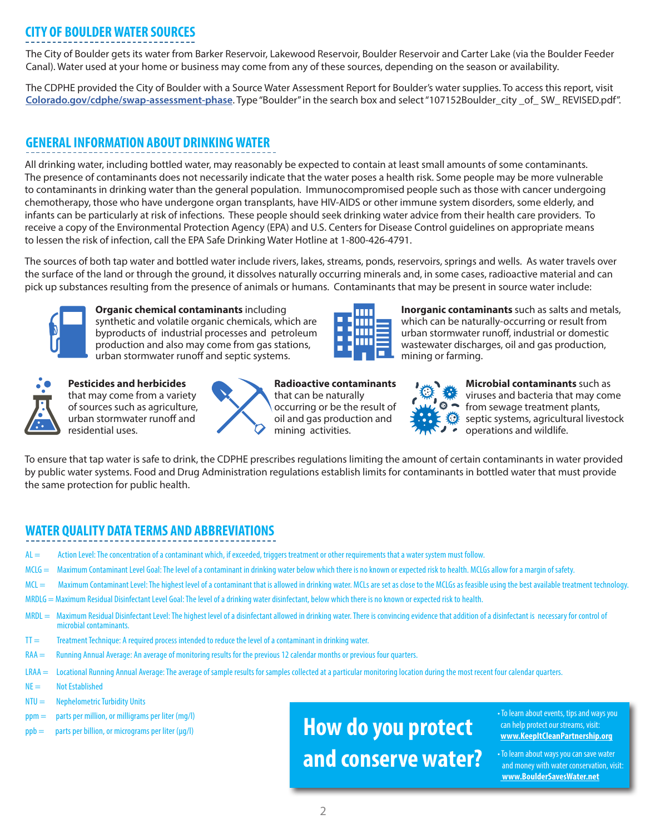#### **CITY OF BOULDER WATER SOURCES**

The City of Boulder gets its water from Barker Reservoir, Lakewood Reservoir, Boulder Reservoir and Carter Lake (via the Boulder Feeder Canal). Water used at your home or business may come from any of these sources, depending on the season or availability.

The CDPHE provided the City of Boulder with a Source Water Assessment Report for Boulder's water supplies. To access this report, visit **[Colorado.gov/cdphe/swap-assessment-phase](http://www.Colorado.gov/cdphe/swap-assessment-phase)**. Type "Boulder" in the search box and select "107152Boulder\_city \_of\_ SW\_ REVISED.pdf".

#### **GENERAL INFORMATION ABOUT DRINKING WATER**

All drinking water, including bottled water, may reasonably be expected to contain at least small amounts of some contaminants. The presence of contaminants does not necessarily indicate that the water poses a health risk. Some people may be more vulnerable to contaminants in drinking water than the general population. Immunocompromised people such as those with cancer undergoing chemotherapy, those who have undergone organ transplants, have HIV-AIDS or other immune system disorders, some elderly, and infants can be particularly at risk of infections. These people should seek drinking water advice from their health care providers. To receive a copy of the Environmental Protection Agency (EPA) and U.S. Centers for Disease Control guidelines on appropriate means to lessen the risk of infection, call the EPA Safe Drinking Water Hotline at 1-800-426-4791.

The sources of both tap water and bottled water include rivers, lakes, streams, ponds, reservoirs, springs and wells. As water travels over the surface of the land or through the ground, it dissolves naturally occurring minerals and, in some cases, radioactive material and can pick up substances resulting from the presence of animals or humans. Contaminants that may be present in source water include:



**Organic chemical contaminants** including synthetic and volatile organic chemicals, which are byproducts of industrial processes and petroleum production and also may come from gas stations, urban stormwater runoff and septic systems.



**Pesticides and herbicides** that may come from a variety of sources such as agriculture, urban stormwater runoff and residential uses.



**Radioactive contaminants** that can be naturally occurring or be the result of oil and gas production and mining activities.



**Inorganic contaminants** such as salts and metals, which can be naturally-occurring or result from urban stormwater runoff, industrial or domestic wastewater discharges, oil and gas production, mining or farming.



**Microbial contaminants** such as viruses and bacteria that may come from sewage treatment plants, septic systems, agricultural livestock operations and wildlife.

To ensure that tap water is safe to drink, the CDPHE prescribes regulations limiting the amount of certain contaminants in water provided by public water systems. Food and Drug Administration regulations establish limits for contaminants in bottled water that must provide the same protection for public health.

#### **WATER QUALITY DATA TERMS AND ABBREVIATIONS**

- AL = Action Level: The concentration of a contaminant which, if exceeded, triggers treatment or other requirements that a water system must follow.
- MCLG = Maximum Contaminant Level Goal: The level of a contaminant in drinking water below which there is no known or expected risk to health. MCLGs allow for a margin of safety.
- MCL = Maximum Contaminant Level: The highest level of a contaminant that is allowed in drinking water. MCLs are set as close to the MCLGs as feasible using the best available treatment technology.
- MRDLG = Maximum Residual Disinfectant Level Goal: The level of a drinking water disinfectant, below which there is no known or expected risk to health.
- MRDL = Maximum Residual Disinfectant Level: The highest level of a disinfectant allowed in drinking water. There is convincing evidence that addition of a disinfectant is necessary for control of microbial contaminants.
- TT = Treatment Technique: A required process intended to reduce the level of a contaminant in drinking water.
- RAA = Running Annual Average: An average of monitoring results for the previous 12 calendar months or previous four quarters.
- LRAA = Locational Running Annual Average: The average of sample results for samples collected at a particular monitoring location during the most recent four calendar quarters.
- $NE =$  Not Established
- $NTU =$  Nephelometric Turbidity Units
- ppm = parts per million, or milligrams per liter (mg/l)
- I  $ppb =$  parts per billion, or micrograms per liter ( $\mu$ g/l)

# **How do you protect and conserve water?**

• To learn about events, tips and ways you can help protect our streams, visit: **[www.KeepItCleanPartnership.org](http://www.KeepItCleanPartnership.org)**

• To learn about ways you can save water and money with water conservation, visit:  **[www.BoulderSavesWater.net](http://www.bouldersaveswater.net)**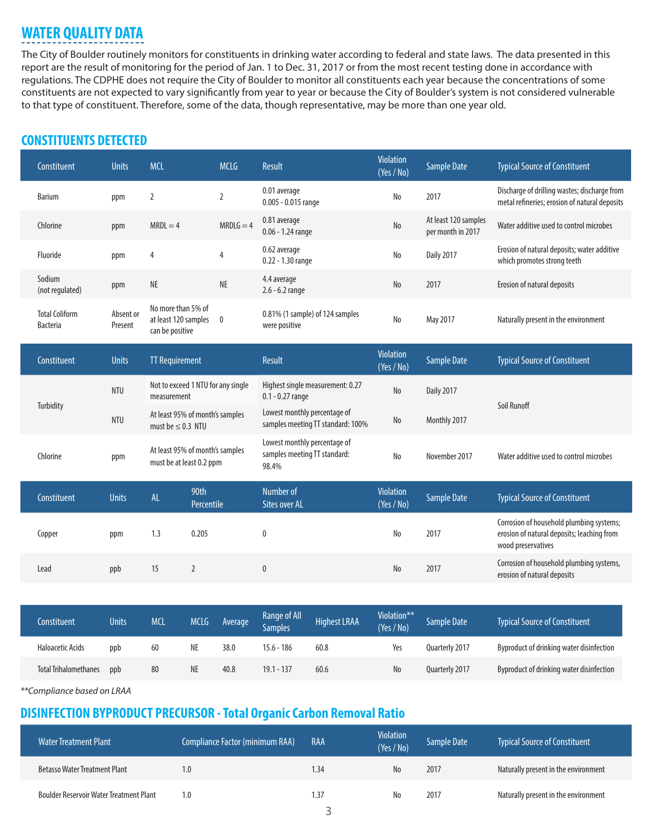## **WATER QUALITY DATA**

The City of Boulder routinely monitors for constituents in drinking water according to federal and state laws. The data presented in this report are the result of monitoring for the period of Jan. 1 to Dec. 31, 2017 or from the most recent testing done in accordance with regulations. The CDPHE does not require the City of Boulder to monitor all constituents each year because the concentrations of some constituents are not expected to vary significantly from year to year or because the City of Boulder's system is not considered vulnerable to that type of constituent. Therefore, some of the data, though representative, may be more than one year old.

#### **CONSTITUENTS DETECTED**

| Constituent                              | <b>Units</b>         | <b>MCL</b>                                                    | <b>MCLG</b>    | Result                                                                | <b>Violation</b><br>(Yes / No) | <b>Sample Date</b>                        | <b>Typical Source of Constituent</b>                                                                         |
|------------------------------------------|----------------------|---------------------------------------------------------------|----------------|-----------------------------------------------------------------------|--------------------------------|-------------------------------------------|--------------------------------------------------------------------------------------------------------------|
| <b>Barium</b>                            | ppm                  | $\overline{2}$<br>2                                           |                | 0.01 average<br>0.005 - 0.015 range                                   | No                             | 2017                                      | Discharge of drilling wastes; discharge from<br>metal refineries; erosion of natural deposits                |
| Chlorine                                 | ppm                  | $MRDLG = 4$<br>$MRDL = 4$                                     |                | 0.81 average<br>$0.06 - 1.24$ range                                   | No                             | At least 120 samples<br>per month in 2017 | Water additive used to control microbes                                                                      |
| Fluoride                                 | ppm                  | $\overline{4}$                                                | $\overline{4}$ | 0.62 average<br>0.22 - 1.30 range                                     | No                             | <b>Daily 2017</b>                         | Erosion of natural deposits; water additive<br>which promotes strong teeth                                   |
| Sodium<br>(not regulated)                | ppm                  | <b>NE</b>                                                     | NE             | 4.4 average<br>$2.6 - 6.2$ range                                      | $\mathsf{No}$                  | 2017                                      | Erosion of natural deposits                                                                                  |
| <b>Total Coliform</b><br><b>Bacteria</b> | Absent or<br>Present | No more than 5% of<br>at least 120 samples<br>can be positive | $\mathbf 0$    | 0.81% (1 sample) of 124 samples<br>were positive                      | No                             | May 2017                                  | Naturally present in the environment                                                                         |
| Constituent                              | <b>Units</b>         | <b>TT Requirement</b>                                         |                | Result                                                                | <b>Violation</b><br>(Yes / No) | <b>Sample Date</b>                        | <b>Typical Source of Constituent</b>                                                                         |
|                                          |                      |                                                               |                |                                                                       |                                |                                           |                                                                                                              |
|                                          | <b>NTU</b>           | Not to exceed 1 NTU for any single<br>measurement             |                | Highest single measurement: 0.27<br>$0.1 - 0.27$ range                | $\mathsf{No}$                  | <b>Daily 2017</b>                         |                                                                                                              |
| Turbidity                                | <b>NTU</b>           | At least 95% of month's samples<br>must be $\leq$ 0.3 NTU     |                | Lowest monthly percentage of<br>samples meeting TT standard: 100%     | No                             | Monthly 2017                              | Soil Runoff                                                                                                  |
| Chlorine                                 | ppm                  | At least 95% of month's samples<br>must be at least 0.2 ppm   |                | Lowest monthly percentage of<br>samples meeting TT standard:<br>98.4% | No                             | November 2017                             | Water additive used to control microbes                                                                      |
| Constituent                              | <b>Units</b>         | 90th<br>AL<br>Percentile                                      |                | Number of<br><b>Sites over AL</b>                                     | <b>Violation</b><br>(Yes / No) | <b>Sample Date</b>                        | <b>Typical Source of Constituent</b>                                                                         |
| Copper                                   | ppm                  | 1.3<br>0.205                                                  |                | 0                                                                     | No                             | 2017                                      | Corrosion of household plumbing systems;<br>erosion of natural deposits; leaching from<br>wood preservatives |

| Constituent                  | <b>Units</b> | <b>MCI</b> | <b>MCLG</b> | <b>Average</b> | <b>Range of All</b><br>Samples <sup>1</sup> | <b>Highest LRAA</b> | Violation**<br>(Yes/No) | Sample Date    | <b>Typical Source of Constituent</b>     |
|------------------------------|--------------|------------|-------------|----------------|---------------------------------------------|---------------------|-------------------------|----------------|------------------------------------------|
| <b>Haloacetic Acids</b>      | ppb          | 60         | NE          | 38.0           | $15.6 - 186$                                | 60.8                | Yes                     | Ouarterly 2017 | Byproduct of drinking water disinfection |
| <b>Total Trihalomethanes</b> | ppb          | 80         | NE          | 40.8           | $19.1 - 137$                                | 60.6                | N <sub>o</sub>          | Ouarterly 2017 | Byproduct of drinking water disinfection |

*\*\*Compliance based on LRAA*

#### **DISINFECTION BYPRODUCT PRECURSOR - Total Organic Carbon Removal Ratio**

| I Water Treatment Plant                        | Compliance Factor (minimum RAA) | RAA  | <b>Violation</b><br>(Yes / No) | Sample Date | <b>Typical Source of Constituent</b> |
|------------------------------------------------|---------------------------------|------|--------------------------------|-------------|--------------------------------------|
| <b>Betasso Water Treatment Plant</b>           | I.O                             | 1.34 | No                             | 2017        | Naturally present in the environment |
| <b>Boulder Reservoir Water Treatment Plant</b> | I.O                             | .37  | No                             | 2017        | Naturally present in the environment |